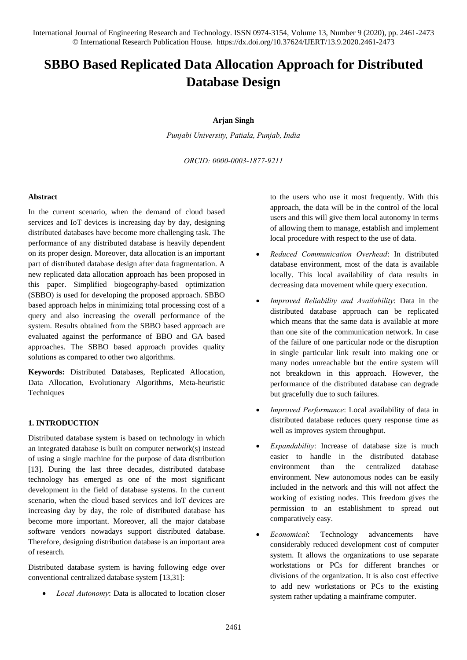# **SBBO Based Replicated Data Allocation Approach for Distributed Database Design**

## **Arjan Singh**

*Punjabi University, Patiala, Punjab, India* 

*ORCID: 0000-0003-1877-9211* 

#### **Abstract**

In the current scenario, when the demand of cloud based services and IoT devices is increasing day by day, designing distributed databases have become more challenging task. The performance of any distributed database is heavily dependent on its proper design. Moreover, data allocation is an important part of distributed database design after data fragmentation. A new replicated data allocation approach has been proposed in this paper. Simplified biogeography-based optimization (SBBO) is used for developing the proposed approach. SBBO based approach helps in minimizing total processing cost of a query and also increasing the overall performance of the system. Results obtained from the SBBO based approach are evaluated against the performance of BBO and GA based approaches. The SBBO based approach provides quality solutions as compared to other two algorithms.

**Keywords:** Distributed Databases, Replicated Allocation, Data Allocation, Evolutionary Algorithms, Meta-heuristic **Techniques** 

## **1. INTRODUCTION**

Distributed database system is based on technology in which an integrated database is built on computer network(s) instead of using a single machine for the purpose of data distribution [13]. During the last three decades, distributed database technology has emerged as one of the most significant development in the field of database systems. In the current scenario, when the cloud based services and IoT devices are increasing day by day, the role of distributed database has become more important. Moreover, all the major database software vendors nowadays support distributed database. Therefore, designing distribution database is an important area of research.

Distributed database system is having following edge over conventional centralized database system [13,31]:

*Local Autonomy*: Data is allocated to location closer

to the users who use it most frequently. With this approach, the data will be in the control of the local users and this will give them local autonomy in terms of allowing them to manage, establish and implement local procedure with respect to the use of data.

- *Reduced Communication Overhead*: In distributed database environment, most of the data is available locally. This local availability of data results in decreasing data movement while query execution.
- *Improved Reliability and Availability*: Data in the distributed database approach can be replicated which means that the same data is available at more than one site of the communication network. In case of the failure of one particular node or the disruption in single particular link result into making one or many nodes unreachable but the entire system will not breakdown in this approach. However, the performance of the distributed database can degrade but gracefully due to such failures.
- *Improved Performance*: Local availability of data in distributed database reduces query response time as well as improves system throughput.
- *Expandability*: Increase of database size is much easier to handle in the distributed database environment than the centralized database environment. New autonomous nodes can be easily included in the network and this will not affect the working of existing nodes. This freedom gives the permission to an establishment to spread out comparatively easy.
- *Economical*: Technology advancements have considerably reduced development cost of computer system. It allows the organizations to use separate workstations or PCs for different branches or divisions of the organization. It is also cost effective to add new workstations or PCs to the existing system rather updating a mainframe computer.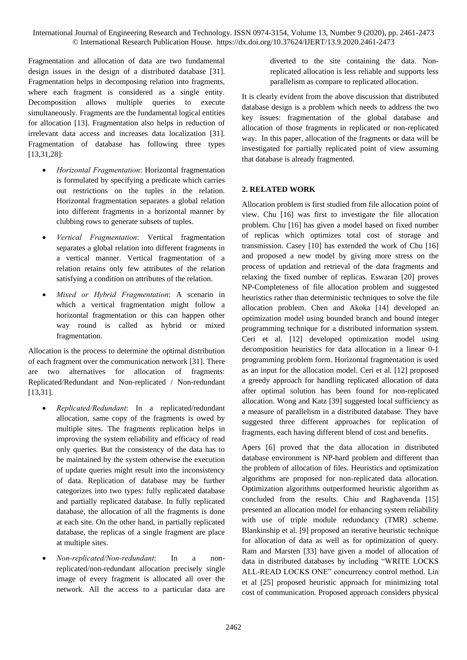Fragmentation and allocation of data are two fundamental design issues in the design of a distributed database [31]. Fragmentation helps in decomposing relation into fragments, where each fragment is considered as a single entity. Decomposition allows multiple queries to execute simultaneously. Fragments are the fundamental logical entities for allocation [13]. Fragmentation also helps in reduction of irrelevant data access and increases data localization [31]. Fragmentation of database has following three types [13,31,28]:

- *Horizontal Fragmentation*: Horizontal fragmentation is formulated by specifying a predicate which carries out restrictions on the tuples in the relation. Horizontal fragmentation separates a global relation into different fragments in a horizontal manner by clubbing rows to generate subsets of tuples.
- *Vertical Fragmentation*: Vertical fragmentation separates a global relation into different fragments in a vertical manner. Vertical fragmentation of a relation retains only few attributes of the relation satisfying a condition on attributes of the relation.
- *Mixed or Hybrid Fragmentation*: A scenario in which a vertical fragmentation might follow a horizontal fragmentation or this can happen other way round is called as hybrid or mixed fragmentation.

Allocation is the process to determine the optimal distribution of each fragment over the communication network [31]. There are two alternatives for allocation of fragments: Replicated/Redundant and Non-replicated / Non-redundant [13,31].

- *Replicated/Redundant*: In a replicated/redundant allocation, same copy of the fragments is owed by multiple sites. The fragments replication helps in improving the system reliability and efficacy of read only queries. But the consistency of the data has to be maintained by the system otherwise the execution of update queries might result into the inconsistency of data. Replication of database may be further categorizes into two types: fully replicated database and partially replicated database. In fully replicated database, the allocation of all the fragments is done at each site. On the other hand, in partially replicated database, the replicas of a single fragment are place at multiple sites.
- *Non-replicated/Non-redundant*: In a nonreplicated/non-redundant allocation precisely single image of every fragment is allocated all over the network. All the access to a particular data are

diverted to the site containing the data. Nonreplicated allocation is less reliable and supports less parallelism as compare to replicated allocation.

It is clearly evident from the above discussion that distributed database design is a problem which needs to address the two key issues: fragmentation of the global database and allocation of those fragments in replicated or non-replicated way. In this paper, allocation of the fragments or data will be investigated for partially replicated point of view assuming that database is already fragmented.

# **2. RELATED WORK**

Allocation problem is first studied from file allocation point of view. Chu [16] was first to investigate the file allocation problem. Chu [16] has given a model based on fixed number of replicas which optimizes total cost of storage and transmission. Casey [10] has extended the work of Chu [16] and proposed a new model by giving more stress on the process of updation and retrieval of the data fragments and relaxing the fixed number of replicas. Eswaran [20] proves NP-Completeness of file allocation problem and suggested heuristics rather than deterministic techniques to solve the file allocation problem. Chen and Akoka [14] developed an optimization model using bounded branch and bound integer programming technique for a distributed information system. Ceri et al. [12] developed optimization model using decomposition heuristics for data allocation in a linear 0-1 programming problem form. Horizontal fragmentation is used as an input for the allocation model. Ceri et al. [12] proposed a greedy approach for handling replicated allocation of data after optimal solution has been found for non-replicated allocation. Wong and Katz [39] suggested local sufficiency as a measure of parallelism in a distributed database. They have suggested three different approaches for replication of fragments, each having different blend of cost and benefits.

Apers [6] proved that the data allocation in distributed database environment is NP-hard problem and different than the problem of allocation of files. Heuristics and optimization algorithms are proposed for non-replicated data allocation. Optimization algorithms outperformed heuristic algorithm as concluded from the results. Chiu and Raghavenda [15] presented an allocation model for enhancing system reliability with use of triple module redundancy (TMR) scheme. Blankinship et al. [9] proposed an iterative heuristic technique for allocation of data as well as for optimization of query. Ram and Marsten [33] have given a model of allocation of data in distributed databases by including "WRITE LOCKS ALL-READ LOCKS ONE" concurrency control method. Lin et al [25] proposed heuristic approach for minimizing total cost of communication. Proposed approach considers physical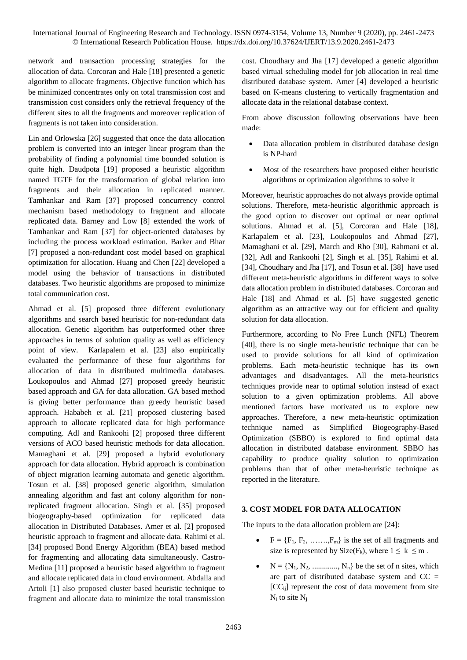network and transaction processing strategies for the allocation of data. Corcoran and Hale [18] presented a genetic algorithm to allocate fragments. Objective function which has be minimized concentrates only on total transmission cost and transmission cost considers only the retrieval frequency of the different sites to all the fragments and moreover replication of fragments is not taken into consideration.

Lin and Orlowska [26] suggested that once the data allocation problem is converted into an integer linear program than the probability of finding a polynomial time bounded solution is quite high. Daudpota [19] proposed a heuristic algorithm named TGTF for the transformation of global relation into fragments and their allocation in replicated manner. Tamhankar and Ram [37] proposed concurrency control mechanism based methodology to fragment and allocate replicated data. Barney and Low [8] extended the work of Tamhankar and Ram [37] for object-oriented databases by including the process workload estimation. Barker and Bhar [7] proposed a non-redundant cost model based on graphical optimization for allocation. Huang and Chen [22] developed a model using the behavior of transactions in distributed databases. Two heuristic algorithms are proposed to minimize total communication cost.

Ahmad et al. [5] proposed three different evolutionary algorithms and search based heuristic for non-redundant data allocation. Genetic algorithm has outperformed other three approaches in terms of solution quality as well as efficiency point of view. Karlapalem et al. [23] also empirically evaluated the performance of these four algorithms for allocation of data in distributed multimedia databases. Loukopoulos and Ahmad [27] proposed greedy heuristic based approach and GA for data allocation. GA based method is giving better performance than greedy heuristic based approach. Hababeh et al. [21] proposed clustering based approach to allocate replicated data for high performance computing. Adl and Rankoohi [2] proposed three different versions of ACO based heuristic methods for data allocation. Mamaghani et al. [29] proposed a hybrid evolutionary approach for data allocation. Hybrid approach is combination of object migration learning automata and genetic algorithm. Tosun et al. [38] proposed genetic algorithm, simulation annealing algorithm and fast ant colony algorithm for nonreplicated fragment allocation. Singh et al. [35] proposed biogeography-based optimization for replicated data allocation in Distributed Databases. Amer et al. [2] proposed heuristic approach to fragment and allocate data. [Rahimi](https://www.sciencedirect.com/science/article/pii/S2210832715000058?via%3Dihub#!) et al. [34] proposed Bond Energy Algorithm (BEA) based method for fragmenting and allocating data simultaneously. Castro-Medina [11] proposed a heuristic based algorithm to fragment and allocate replicated data in cloud environment. Abdalla and Artoli [1] also proposed cluster based heuristic technique to fragment and allocate data to minimize the total transmission

cost. Choudhary and Jha [17] developed a genetic algorithm based virtual scheduling model for job allocation in real time distributed database system. Amer [4] developed a heuristic based on K-means clustering to vertically fragmentation and allocate data in the relational database context.

From above discussion following observations have been made:

- Data allocation problem in distributed database design is NP-hard
- Most of the researchers have proposed either heuristic algorithms or optimization algorithms to solve it

Moreover, heuristic approaches do not always provide optimal solutions. Therefore, meta-heuristic algorithmic approach is the good option to discover out optimal or near optimal solutions. Ahmad et al. [5], Corcoran and Hale [18], Karlapalem et al. [23], Loukopoulos and Ahmad [27], Mamaghani et al. [29], March and Rho [30], Rahmani et al. [32], Adl and Rankoohi [2], Singh et al. [35], [Rahimi](https://www.sciencedirect.com/science/article/pii/S2210832715000058?via%3Dihub#!) et al. [34], Choudhary and Jha [17], and Tosun et al. [38] have used different meta-heuristic algorithms in different ways to solve data allocation problem in distributed databases. Corcoran and Hale [18] and Ahmad et al. [5] have suggested genetic algorithm as an attractive way out for efficient and quality solution for data allocation.

Furthermore, according to No Free Lunch (NFL) Theorem [40], there is no single meta-heuristic technique that can be used to provide solutions for all kind of optimization problems. Each meta-heuristic technique has its own advantages and disadvantages. All the meta-heuristics techniques provide near to optimal solution instead of exact solution to a given optimization problems. All above mentioned factors have motivated us to explore new approaches. Therefore, a new meta-heuristic optimization technique named as Simplified Biogeography-Based Optimization (SBBO) is explored to find optimal data allocation in distributed database environment. SBBO has capability to produce quality solution to optimization problems than that of other meta-heuristic technique as reported in the literature.

# **3. COST MODEL FOR DATA ALLOCATION**

The inputs to the data allocation problem are [24]:

- $\bullet$   $F = \{F_1, F_2, \ldots, F_m\}$  is the set of all fragments and size is represented by Size( $F_k$ ), where  $1 \leq k \leq m$ .
- $N = \{N_1, N_2, \dots, N_n\}$  be the set of n sites, which are part of distributed database system and  $CC =$  $[CC_{ii}]$  represent the cost of data movement from site  $N_i$  to site  $N_i$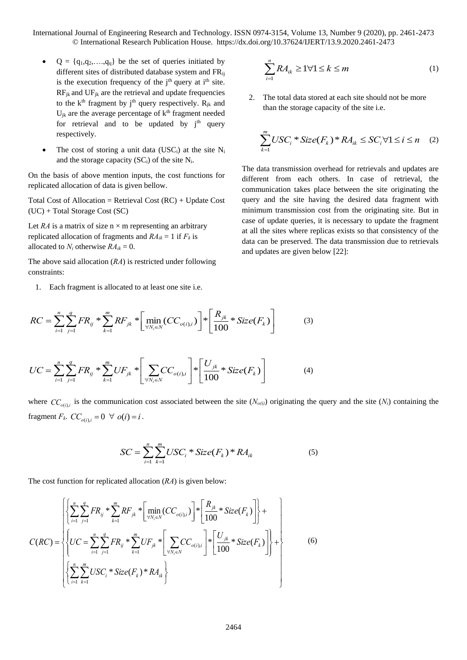- $Q = \{q_1, q_2, \ldots, q_q\}$  be the set of queries initiated by different sites of distributed database system and FRij is the execution frequency of the  $i<sup>th</sup>$  query at  $i<sup>th</sup>$  site.  $RF_{jk}$  and  $UF_{jk}$  are the retrieval and update frequencies to the  $k<sup>th</sup>$  fragment by j<sup>th</sup> query respectively.  $R_{ik}$  and  $U_{jk}$  are the average percentage of  $k<sup>th</sup>$  fragment needed for retrieval and to be updated by  $j<sup>th</sup>$  query respectively.
- The cost of storing a unit data (USC<sub>i</sub>) at the site  $N_i$ and the storage capacity  $(SC<sub>i</sub>)$  of the site  $N<sub>i</sub>$ .

On the basis of above mention inputs, the cost functions for replicated allocation of data is given bellow.

Total Cost of Allocation = Retrieval Cost (RC) + Update Cost (UC) + Total Storage Cost (SC)

Let *RA* is a matrix of size  $n \times m$  representing an arbitrary replicated allocation of fragments and  $RA_{ik} = 1$  if  $F_k$  is allocated to  $N_i$  otherwise  $RA_{ik} = 0$ .

The above said allocation (*RA*) is restricted under following constraints:

1. Each fragment is allocated to at least one site i.e.

1. Each fragment is allocated to at least one site i.e.  
\n
$$
RC = \sum_{i=1}^{n} \sum_{j=1}^{q} FR_{ij} * \sum_{k=1}^{m} RF_{jk} * \left[ \min_{\forall N_i \in N} (CC_{o(i), i}) \right] * \left[ \frac{R_{jk}}{100} * Size(F_k) \right]
$$
\n(3)

$$
UC = \sum_{i=1}^{n} \sum_{j=1}^{q} FR_{ij} * \sum_{k=1}^{m} UF_{jk} * \left[ \sum_{\forall N_i \in N} CC_{o(i),i} \right] * \left[ \frac{U_{jk}}{100} * Size(F_k) \right]
$$
(4)

where  $CC_{o(i),i}$  is the communication cost associated between the site  $(N_{o(i)})$  originating the query and the site  $(N_i)$  containing the fragment  $F_k$ .  $CC_{o(i),i} = 0 \ \forall \ o(i) = i$ .

$$
SC = \sum_{i=1}^{n} \sum_{k=1}^{m} USC_i * Size(F_k) * RA_{ik}
$$
 (5)

The cost function for replicated allocation (*RA*) is given below:

The cost function for replicated allocation 
$$
(RA)
$$
 is given below:  
\n
$$
C(RC) = \left\{ \left\{ \sum_{i=1}^{n} \sum_{j=1}^{q} FR_{ij} * \sum_{k=1}^{m} RF_{jk} * \left[ \min_{\forall N_i \in N} (CC_{o(i), i}) \right] * \left[ \frac{R_{jk}}{100} * Size(F_k) \right] \right\} + C(RC) = \left\{ \left\{ UC = \sum_{i=1}^{n} \sum_{j=1}^{q} FR_{ij} * \sum_{k=1}^{m} UF_{jk} * \left[ \sum_{\forall N_i \in N} CC_{o(i), i} \right] * \left[ \frac{U_{jk}}{100} * Size(F_k) \right] \right\} + \left\{ \sum_{i=1}^{n} \sum_{k=1}^{m} USC_i * Size(F_k) * RA_{ik} \right\} \right\}
$$
\n(6)

$$
\sum_{i=1}^{n} RA_{ik} \ge 1 \forall 1 \le k \le m \tag{1}
$$

2. The total data stored at each site should not be more than the storage capacity of the site i.e.

$$
\sum_{k=1}^{m} USC_i * Size(F_k) * R A_{ik} \le SC_i \forall 1 \le i \le n \quad (2)
$$

The data transmission overhead for retrievals and updates are different from each others. In case of retrieval, the communication takes place between the site originating the query and the site having the desired data fragment with minimum transmission cost from the originating site. But in case of update queries, it is necessary to update the fragment at all the sites where replicas exists so that consistency of the data can be preserved. The data transmission due to retrievals and updates are given below [22]: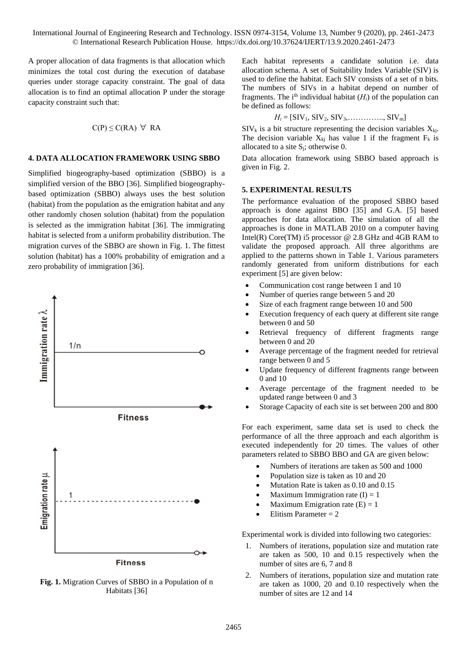A proper allocation of data fragments is that allocation which minimizes the total cost during the execution of database queries under storage capacity constraint. The goal of data allocation is to find an optimal allocation P under the storage capacity constraint such that:

$$
C(P) \leq C(RA) \ \forall \ RA
$$

## **4. DATA ALLOCATION FRAMEWORK USING SBBO**

Simplified biogeography-based optimization (SBBO) is a simplified version of the BBO [36]. Simplified biogeographybased optimization (SBBO) always uses the best solution (habitat) from the population as the emigration habitat and any other randomly chosen solution (habitat) from the population is selected as the immigration habitat [36]. The immigrating habitat is selected from a uniform probability distribution. The migration curves of the SBBO are shown in Fig. 1. The fittest solution (habitat) has a 100% probability of emigration and a zero probability of immigration [36].



**Fig. 1.** Migration Curves of SBBO in a Population of n Habitats [36]

Each habitat represents a candidate solution i.e. data allocation schema. A set of Suitability Index Variable (SIV) is used to define the habitat. Each SIV consists of a set of n bits. The numbers of SIVs in a habitat depend on number of fragments. The i<sup>th</sup> individual habitat  $(H_i)$  of the population can be defined as follows:

$$
H_i = [\text{SIV}_1, \text{SIV}_2, \text{SIV}_3, \dots, \dots, \text{SIV}_m]
$$

 $\text{SIV}_k$  is a bit structure representing the decision variables  $X_{ki}$ . The decision variable  $X_{ki}$  has value 1 if the fragment  $F_k$  is allocated to a site  $S_i$ ; otherwise 0.

Data allocation framework using SBBO based approach is given in Fig. 2.

#### **5. EXPERIMENTAL RESULTS**

The performance evaluation of the proposed SBBO based approach is done against BBO [35] and G.A. [5] based approaches for data allocation. The simulation of all the approaches is done in MATLAB 2010 on a computer having Intel(R) Core(TM) i5 processor  $@$  2.8 GHz and 4GB RAM to validate the proposed approach. All three algorithms are applied to the patterns shown in Table 1. Various parameters randomly generated from uniform distributions for each experiment [5] are given below:

- Communication cost range between 1 and 10
- Number of queries range between 5 and 20
- Size of each fragment range between 10 and 500
- Execution frequency of each query at different site range between 0 and 50
- Retrieval frequency of different fragments range between 0 and 20
- Average percentage of the fragment needed for retrieval range between 0 and 5
- Update frequency of different fragments range between 0 and 10
- Average percentage of the fragment needed to be updated range between 0 and 3
- Storage Capacity of each site is set between 200 and 800

For each experiment, same data set is used to check the performance of all the three approach and each algorithm is executed independently for 20 times. The values of other parameters related to SBBO BBO and GA are given below:

- Numbers of iterations are taken as 500 and 1000
- Population size is taken as 10 and 20
- Mutation Rate is taken as 0.10 and 0.15
- Maximum Immigration rate  $(I) = 1$
- Maximum Emigration rate  $(E) = 1$
- Elitism Parameter = 2

Experimental work is divided into following two categories:

- 1. Numbers of iterations, population size and mutation rate are taken as 500, 10 and 0.15 respectively when the number of sites are 6, 7 and 8
- 2. Numbers of iterations, population size and mutation rate are taken as 1000, 20 and 0.10 respectively when the number of sites are 12 and 14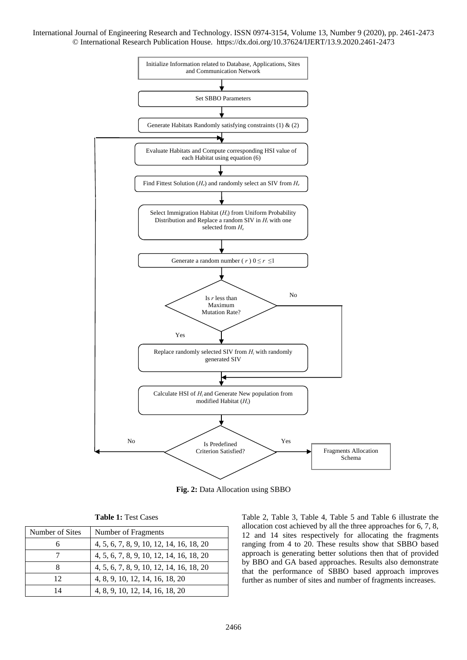

**Fig. 2:** Data Allocation using SBBO

| <b>Table 1: Test Cases</b> |  |  |
|----------------------------|--|--|
|                            |  |  |

| Number of Sites | Number of Fragments                      |
|-----------------|------------------------------------------|
|                 | 4, 5, 6, 7, 8, 9, 10, 12, 14, 16, 18, 20 |
|                 | 4, 5, 6, 7, 8, 9, 10, 12, 14, 16, 18, 20 |
|                 | 4, 5, 6, 7, 8, 9, 10, 12, 14, 16, 18, 20 |
| 12              | 4, 8, 9, 10, 12, 14, 16, 18, 20          |
| 14              | 4, 8, 9, 10, 12, 14, 16, 18, 20          |

Table 2, Table 3, Table 4, Table 5 and Table 6 illustrate the allocation cost achieved by all the three approaches for 6, 7, 8, 12 and 14 sites respectively for allocating the fragments ranging from 4 to 20. These results show that SBBO based approach is generating better solutions then that of provided by BBO and GA based approaches. Results also demonstrate that the performance of SBBO based approach improves further as number of sites and number of fragments increases.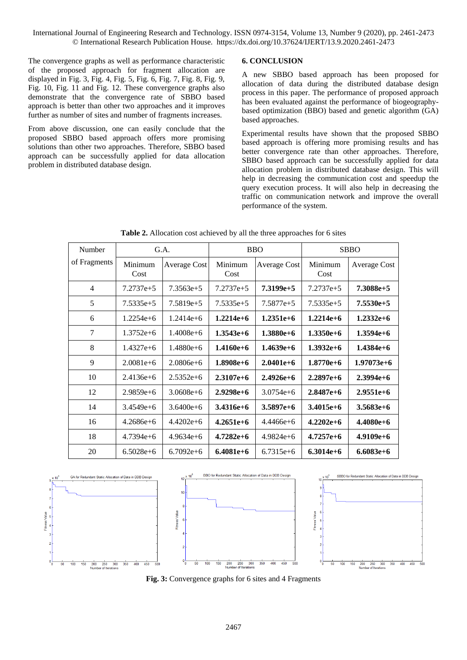The convergence graphs as well as performance characteristic of the proposed approach for fragment allocation are displayed in Fig. 3, Fig. 4, Fig. 5, Fig. 6, Fig. 7, Fig. 8, Fig. 9, Fig. 10, Fig. 11 and Fig. 12. These convergence graphs also demonstrate that the convergence rate of SBBO based approach is better than other two approaches and it improves further as number of sites and number of fragments increases.

From above discussion, one can easily conclude that the proposed SBBO based approach offers more promising solutions than other two approaches. Therefore, SBBO based approach can be successfully applied for data allocation problem in distributed database design.

#### **6. CONCLUSION**

A new SBBO based approach has been proposed for allocation of data during the distributed database design process in this paper. The performance of proposed approach has been evaluated against the performance of biogeographybased optimization (BBO) based and genetic algorithm (GA) based approaches.

Experimental results have shown that the proposed SBBO based approach is offering more promising results and has better convergence rate than other approaches. Therefore, SBBO based approach can be successfully applied for data allocation problem in distributed database design. This will help in decreasing the communication cost and speedup the query execution process. It will also help in decreasing the traffic on communication network and improve the overall performance of the system.

| Number         | G.A.            |               | <b>BBO</b>      |                     | <b>SBBO</b>     |                     |
|----------------|-----------------|---------------|-----------------|---------------------|-----------------|---------------------|
| of Fragments   | Minimum<br>Cost | Average Cost  | Minimum<br>Cost | <b>Average Cost</b> | Minimum<br>Cost | <b>Average Cost</b> |
| $\overline{4}$ | $7.2737e+5$     | $7.3563e+5$   | $7.2737e+5$     | $7.3199e+5$         | $7.2737e+5$     | $7.3088e+5$         |
| 5              | $7.5335e+5$     | $7.5819e+5$   | $7.5335e+5$     | $7.5877e+5$         | $7.5335e+5$     | $7.5530e+5$         |
| 6              | $1.2254e+6$     | $1.2414e+6$   | $1.2214e+6$     | $1.2351e+6$         | $1.2214e+6$     | $1.2332e+6$         |
| 7              | $1.3752e+6$     | $1.4008e+6$   | $1.3543e+6$     | $1.3880e + 6$       | $1.3350e + 6$   | $1.3594e+6$         |
| 8              | $1.4327e+6$     | $1.4880e+6$   | $1.4160e+6$     | $1.4639e+6$         | $1.3932e+6$     | $1.4384e+6$         |
| 9              | $2.0081e+6$     | $2.0806e+6$   | $1.8908e+6$     | $2.0401e + 6$       | $1.8770e+6$     | $1.97073e+6$        |
| 10             | $2.4136e + 6$   | $2.5352e+6$   | $2.3107e+6$     | $2.4926e+6$         | $2.2897e+6$     | $2.3994e+6$         |
| 12             | $2.9859e+6$     | $3.0608e + 6$ | $2.9298e+6$     | $3.0754e+6$         | $2.8487e+6$     | $2.9551e+6$         |
| 14             | $3.4549e+6$     | $3.6400e + 6$ | $3.4316e+6$     | $3.5897e+6$         | $3.4015e+6$     | $3.5683e+6$         |
| 16             | $4.2686e+6$     | $4.4202e+6$   | $4.2651e+6$     | $4.4466e+6$         | $4.2202e+6$     | $4.4080e+6$         |
| 18             | 4.7394e+6       | $4.9634e+6$   | $4.7282e+6$     | $4.9824e+6$         | $4.7257e+6$     | $4.9109e+6$         |
| 20             | $6.5028e+6$     | $6.7092e+6$   | $6.4081e+6$     | $6.7315e+6$         | $6.3014e+6$     | $6.6083e+6$         |

**Table 2.** Allocation cost achieved by all the three approaches for 6 sites



**Fig. 3:** Convergence graphs for 6 sites and 4 Fragments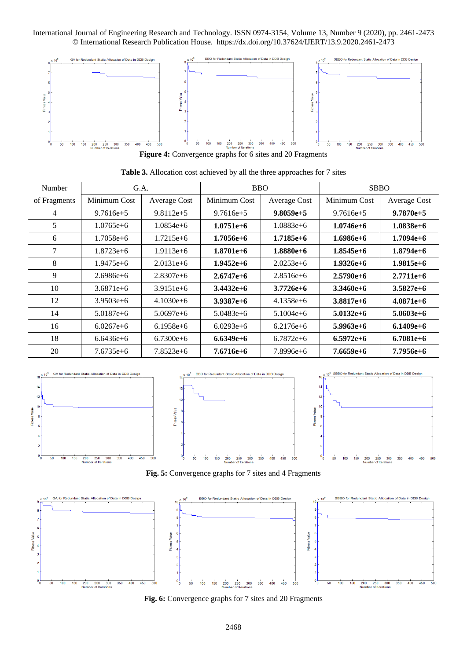

**Figure 4:** Convergence graphs for 6 sites and 20 Fragments

| Number       | G.A.          |               | <b>BBO</b>   |               | <b>SBBO</b>   |               |
|--------------|---------------|---------------|--------------|---------------|---------------|---------------|
| of Fragments | Minimum Cost  | Average Cost  | Minimum Cost | Average Cost  | Minimum Cost  | Average Cost  |
| 4            | $9.7616e+5$   | $9.8112e+5$   | $9.7616e+5$  | $9.8059e+5$   | $9.7616e+5$   | $9.7870e+5$   |
| 5            | $1.0765e+6$   | $1.0854e+6$   | $1.0751e+6$  | $1.0883e+6$   | $1.0746e+6$   | $1.0838e+6$   |
| 6            | $1.7058e+6$   | $1.7215e+6$   | $1.7056e+6$  | $1.7185e+6$   | $1.6986e+6$   | $1.7094e+6$   |
| 7            | $1.8723e+6$   | $1.9113e+6$   | $1.8701e+6$  | $1.8880e + 6$ | $1.8545e+6$   | $1.8794e+6$   |
| 8            | $1.9475e+6$   | $2.0131e+6$   | $1.9452e+6$  | $2.0253e+6$   | $1.9326e+6$   | $1.9815e+6$   |
| 9            | $2.6986e + 6$ | $2.8307e+6$   | $2.6747e+6$  | $2.8516e + 6$ | $2.5790e + 6$ | $2.7711e + 6$ |
| 10           | $3.6871e + 6$ | $3.9151e + 6$ | $3.4432e+6$  | $3.7726e + 6$ | $3.3460e + 6$ | $3.5827e+6$   |
| 12           | $3.9503e+6$   | $4.1030e + 6$ | $3.9387e+6$  | $4.1358e+6$   | $3.8817e+6$   | $4.0871e+6$   |
| 14           | $5.0187e+6$   | $5.0697e+6$   | $5.0483e+6$  | $5.1004e+6$   | $5.0132e+6$   | $5.0603e+6$   |
| 16           | $6.0267e + 6$ | $6.1958e+6$   | $6.0293e+6$  | $6.2176e + 6$ | $5.9963e+6$   | $6.1409e+6$   |
| 18           | $6.6436e + 6$ | $6.7300e + 6$ | $6.6349e+6$  | $6.7872e+6$   | $6.5972e+6$   | $6.7081e+6$   |
| 20           | $7.6735e+6$   | $7.8523e+6$   | 7.6716e+6    | $7.8996e+6$   | $7.6659e+6$   | 7.7956e+6     |

**Table 3.** Allocation cost achieved by all the three approaches for 7 sites



**Fig. 5:** Convergence graphs for 7 sites and 4 Fragments



**Fig. 6:** Convergence graphs for 7 sites and 20 Fragments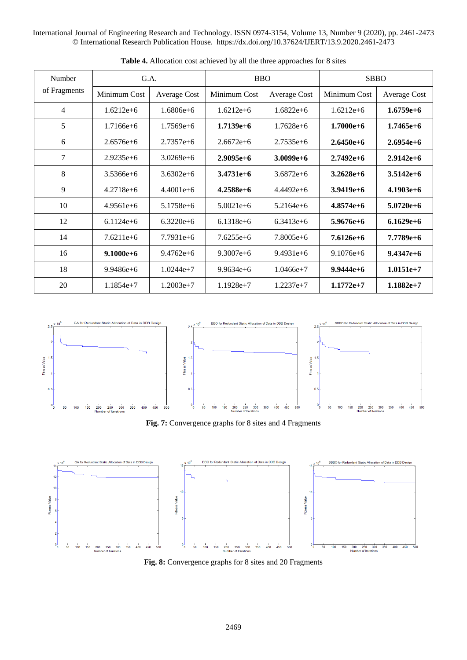| Number         | G.A.          |                     | <b>BBO</b>    |                     | <b>SBBO</b>   |                     |
|----------------|---------------|---------------------|---------------|---------------------|---------------|---------------------|
| of Fragments   | Minimum Cost  | <b>Average Cost</b> | Minimum Cost  | <b>Average Cost</b> | Minimum Cost  | <b>Average Cost</b> |
| $\overline{4}$ | $1.6212e+6$   | $1.6806e + 6$       | $1.6212e+6$   | $1.6822e+6$         | $1.6212e+6$   | $1.6759e+6$         |
| 5              | $1.7166e + 6$ | $1.7569e+6$         | $1.7139e+6$   | $1.7628e + 6$       | $1.7000e + 6$ | $1.7465e+6$         |
| 6              | $2.6576e + 6$ | $2.7357e + 6$       | $2.6672e+6$   | $2.7535e + 6$       | $2.6450e + 6$ | $2.6954e+6$         |
| 7              | $2.9235e+6$   | $3.0269e + 6$       | $2.9095e+6$   | $3.0099e+6$         | $2.7492e+6$   | $2.9142e+6$         |
| 8              | $3.5366e + 6$ | $3.6302e + 6$       | $3.4731e + 6$ | $3.6872e + 6$       | $3.2628e + 6$ | $3.5142e+6$         |
| 9              | $4.2718e + 6$ | $4.4001e+6$         | $4.2588e+6$   | $4.4492e + 6$       | $3.9419e+6$   | $4.1903e+6$         |
| 10             | $4.9561e + 6$ | $5.1758e + 6$       | $5.0021e + 6$ | $5.2164e + 6$       | $4.8574e+6$   | $5.0720e + 6$       |
| 12             | $6.1124e+6$   | $6.3220e + 6$       | $6.1318e+6$   | $6.3413e+6$         | $5.9676e + 6$ | $6.1629e+6$         |
| 14             | $7.6211e+6$   | $7.7931e + 6$       | $7.6255e+6$   | $7.8005e+6$         | $7.6126e+6$   | $7.7789e+6$         |
| 16             | $9.1000e + 6$ | $9.4762e + 6$       | $9.3007e + 6$ | $9.4931e + 6$       | $9.1076e + 6$ | $9.4347e+6$         |
| 18             | $9.9486e + 6$ | $1.0244e+7$         | $9.9634e + 6$ | $1.0466e+7$         | $9.9444e + 6$ | $1.0151e+7$         |
| 20             | $1.1854e+7$   | $1.2003e+7$         | $1.1928e+7$   | $1.2237e+7$         | $1.1772e+7$   | $1.1882e+7$         |

**Table 4.** Allocation cost achieved by all the three approaches for 8 sites



**Fig. 7:** Convergence graphs for 8 sites and 4 Fragments



**Fig. 8:** Convergence graphs for 8 sites and 20 Fragments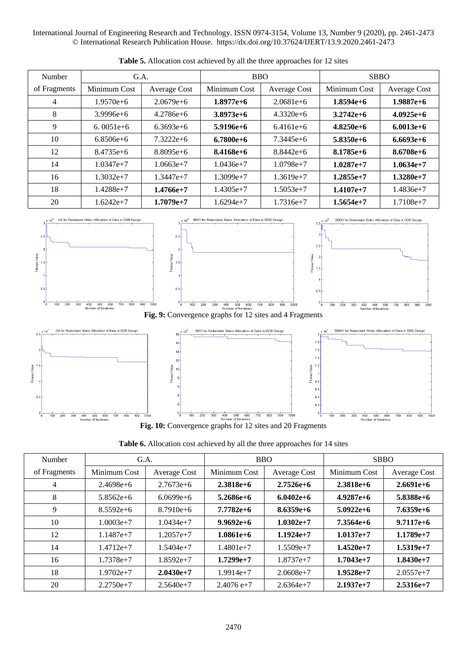| Number       | G.A.          |               | <b>BBO</b>    |               | <b>SBBO</b>   |               |
|--------------|---------------|---------------|---------------|---------------|---------------|---------------|
| of Fragments | Minimum Cost  | Average Cost  | Minimum Cost  | Average Cost  | Minimum Cost  | Average Cost  |
| 4            | $1.9570e + 6$ | $2.0679e + 6$ | $1.8977e+6$   | $2.0681e + 6$ | $1.8594e+6$   | $1.9887e+6$   |
| 8            | $3.9996e + 6$ | $4.2786e + 6$ | $3.8973e+6$   | $4.3320e + 6$ | $3.2742e+6$   | $4.0925e+6$   |
| 9            | $6.0051e+6$   | $6.3693e+6$   | $5.9196e+6$   | $6.4161e+6$   | $4.8250e+6$   | $6.0013e+6$   |
| 10           | $6.8506e + 6$ | $7.3222e+6$   | $6.7800e + 6$ | $7.3445e+6$   | $5.8350e + 6$ | $6.6693e+6$   |
| 12           | $8.4735e+6$   | $8.8095e+6$   | $8.4168e+6$   | $8.8442e+6$   | $8.1785e+6$   | $8.6708e + 6$ |
| 14           | $1.0347e+7$   | $1.0663e+7$   | $1.0436e+7$   | $1.0798e+7$   | $1.0287e+7$   | $1.0634e+7$   |
| 16           | $1.3032e+7$   | $1.3447e+7$   | $1.3099e+7$   | $1.3619e+7$   | $1.2855e+7$   | $1.3280e+7$   |
| 18           | $1.4288e+7$   | $1.4766e+7$   | $1.4305e+7$   | $1.5053e+7$   | $1.4107e+7$   | $1.4836e+7$   |
| 20           | $1.6242e+7$   | $1.7079e+7$   | $1.6294e+7$   | $1.7316e+7$   | $1.5654e+7$   | $1.7108e+7$   |

Table 5. Allocation cost achieved by all the three approaches for 12 sites



**Fig. 10:** Convergence graphs for 12 sites and 20 Fragments

| Table 6. Allocation cost achieved by all the three approaches for 14 sites |  |  |
|----------------------------------------------------------------------------|--|--|
|----------------------------------------------------------------------------|--|--|

| Number       | G.A.         |               | <b>BBO</b>    |                     | <b>SBBO</b>  |              |
|--------------|--------------|---------------|---------------|---------------------|--------------|--------------|
| of Fragments | Minimum Cost | Average Cost  | Minimum Cost  | <b>Average Cost</b> | Minimum Cost | Average Cost |
| 4            | $2.4698e+6$  | $2.7673e+6$   | $2.3818e+6$   | $2.7526e+6$         | $2.3818e+6$  | $2.6691e+6$  |
| 8            | $5.8562e+6$  | $6.0699e+6$   | $5.2686e+6$   | $6.0402e+6$         | $4.9287e+6$  | $5.8388e+6$  |
| 9            | $8.5592e+6$  | $8.7910e + 6$ | $7.7782e+6$   | $8.6359e+6$         | $5.0922e+6$  | $7.6359e+6$  |
| 10           | $1.0003e+7$  | $1.0434e+7$   | $9.9692e+6$   | $1.0302e+7$         | $7.3564e+6$  | $9.7117e+6$  |
| 12           | $1.1487e+7$  | $1.2057e+7$   | $1.0861e + 6$ | $1.1924e+7$         | $1.0137e+7$  | $1.1789e+7$  |
| 14           | $1.4712e+7$  | $1.5404e+7$   | $1.4801e+7$   | $1.5509e+7$         | $1.4520e+7$  | $1.5319e+7$  |
| 16           | $1.7378e+7$  | $1.8592e+7$   | $1.7299e+7$   | $1.8737e+7$         | $1.7043e+7$  | $1.8430e+7$  |
| 18           | $1.9702e+7$  | $2.0430e+7$   | $1.9914e+7$   | $2.0608e+7$         | $1.9528e+7$  | $2.0557e+7$  |
| 20           | $2.2750e+7$  | $2.5640e+7$   | $2.4076$ e+7  | $2.6364e+7$         | $2.1937e+7$  | $2.5316e+7$  |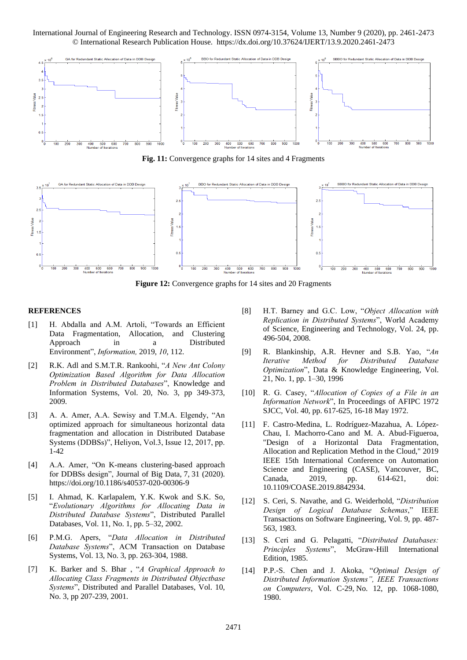

Fig. 11: Convergence graphs for 14 sites and 4 Fragments



**Figure 12:** Convergence graphs for 14 sites and 20 Fragments

#### **REFERENCES**

- [1] H. Abdalla and A.M. Artoli, "Towards an Efficient Data Fragmentation, Allocation, and Clustering Approach in a Distributed Environment", *Information,* 2019, *10*, 112.
- [2] [R.K. Adl](http://link.springer.com/search?facet-author=%22Rosa+Karimi+Adl%22) and [S.M.T.R. Rankoohi,](http://link.springer.com/search?facet-author=%22Seyed+Mohammad+Taghi+Rouhani+Rankoohi%22) "*A New Ant Colony Optimization Based Algorithm for Data Allocation Problem in Distributed Databases*", [Knowledge and](http://link.springer.com/journal/10115)  [Information Systems,](http://link.springer.com/journal/10115) Vol. 20, [No. 3,](http://link.springer.com/journal/10115/20/3/page/1) pp 349-373, 2009.
- [3] A. A. Amer, A.A. Sewisy and T.M.A. Elgendy, "An optimized approach for simultaneous horizontal data fragmentation and allocation in Distributed Database Systems (DDBSs)", Heliyon, Vol.3, Issue 12, 2017, pp. 1-42
- [4] A.A. Amer, "On K-means clustering-based approach for DDBSs design", Journal of Big Data, 7, 31 (2020). <https://doi.org/10.1186/s40537-020-00306-9>
- [5] I. Ahmad, K. Karlapalem, Y.K. Kwok and S.K. So, "*Evolutionary Algorithms for Allocating Data in Distributed Database Systems*", Distributed Parallel Databases, Vol. 11, No. 1, pp. 5–32, 2002.
- [6] P.M.G. Apers, "*Data Allocation in Distributed Database Systems*", ACM Transaction on Database Systems, Vol. 13, No. 3, pp. 263-304, 1988.
- [7] [K. Barker](http://link.springer.com/search?facet-author=%22Ken+Barker%22) and [S. Bhar](http://link.springer.com/search?facet-author=%22Subhrajyoti+Bhar%22) , "*A Graphical Approach to Allocating Class Fragments in Distributed Objectbase Systems*", [Distributed and Parallel Databases,](http://link.springer.com/journal/10619) Vol. 10, [No. 3,](http://link.springer.com/journal/10619/10/3/page/1) pp 207-239, 2001.
- [8] H.T. Barney and G.C. Low, "*Object Allocation with Replication in Distributed Systems*", World Academy of Science, Engineering and Technology, Vol. 24, pp. 496-504, 2008.
- [9] [R. Blankinship,](http://dl.acm.org/author_page.cfm?id=81100080883&coll=DL&dl=ACM&trk=0&cfid=271208474&cftoken=86305780) [A.R. Hevner](http://dl.acm.org/author_page.cfm?id=81100647777&coll=DL&dl=ACM&trk=0&cfid=271208474&cftoken=86305780) and [S.B. Yao,](http://dl.acm.org/author_page.cfm?id=81332537077&coll=DL&dl=ACM&trk=0&cfid=271208474&cftoken=86305780) "*An Iterative Method for Distributed Database Optimization*", [Data & Knowledge Engineering,](http://www.sciencedirect.com/science/journal/0169023X) [Vol.](http://www.sciencedirect.com/science/journal/0169023X/21/1)  [21, No. 1,](http://www.sciencedirect.com/science/journal/0169023X/21/1) pp. 1–30, 1996
- [10] R. G. Casey, "*Allocation of Copies of a File in an Information Network*", In Proceedings of AFIPC 1972 SJCC, Vol. 40, pp. 617-625, 16-18 May 1972.
- [11] F. Castro-Medina, L. Rodríguez-Mazahua, A. López-Chau, I. Machorro-Cano and M. A. Abud-Figueroa, "Design of a Horizontal Data Fragmentation, Allocation and Replication Method in the Cloud," 2019 IEEE 15th International Conference on Automation Science and Engineering (CASE), Vancouver, BC, Canada, 2019, pp. 614-621, doi: 10.1109/COASE.2019.8842934.
- [12] S. Ceri, S. Navathe, and G. Weiderhold, "*Distribution Design of Logical Database Schemas*," IEEE Transactions on Software Engineering, Vol. 9, pp. 487- 563, 1983.
- [13] S. Ceri and G. Pelagatti, "*Distributed Databases: Principles Systems*", McGraw-Hill International Edition, 1985.
- [14] P.P.-S. [Chen](http://ieeexplore.ieee.org/search/searchresult.jsp?searchWithin=p_Authors:.QT.Chen,%20P.P.-S..QT.&searchWithin=p_Author_Ids:38045749200&newsearch=true) and J. [Akoka,](http://ieeexplore.ieee.org/search/searchresult.jsp?searchWithin=p_Authors:.QT.Akoka,%20J..QT.&searchWithin=p_Author_Ids:38045525000&newsearch=true) "*Optimal Design of Distributed Information Systems", [IEEE Transactions](http://ieeexplore.ieee.org/xpl/RecentIssue.jsp?punumber=12)  [on Computers](http://ieeexplore.ieee.org/xpl/RecentIssue.jsp?punumber=12)*, Vol. C-29, No. 12, pp. 1068-1080, 1980.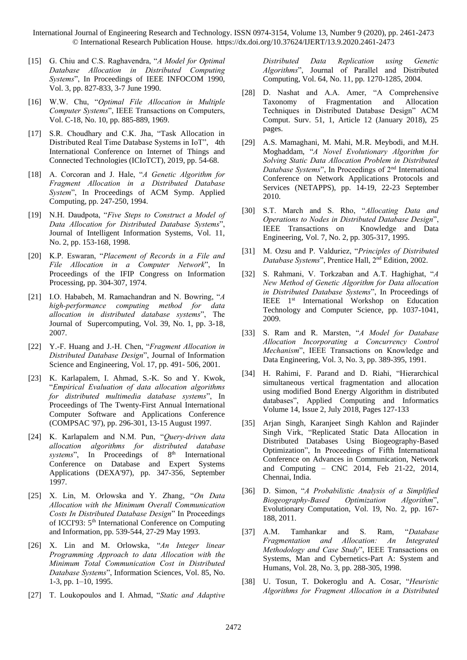- [15] G. Chiu and C.S. Raghavendra, "*A Model for Optimal Database Allocation in Distributed Computing Systems*", In Proceedings of IEEE INFOCOM 1990, Vol. 3, pp. 827-833, 3-7 June 1990.
- [16] W.W. Chu, "*Optimal File Allocation in Multiple Computer Systems*", IEEE Transactions on Computers, Vol. C-18, No. 10, pp. 885-889, 1969.
- [17] S.R. Choudhary and C.K. Jha, "Task Allocation in Distributed Real Time Database Systems in IoT", 4th International Conference on Internet of Things and Connected Technologies (ICIoTCT), 2019, pp. 54-68.
- [18] A. Corcoran and J. Hale, "*A Genetic Algorithm for Fragment Allocation in a Distributed Database System*", In Proceedings of ACM Symp. Applied Computing, pp. 247-250, 1994.
- [19] N.H. Daudpota, "*Five Steps to Construct a Model of Data Allocation for Distributed Database Systems*", Journal of Intelligent Information Systems, Vol. 11, No. 2, pp. 153-168, 1998.
- [20] K.P. Eswaran, "*Placement of Records in a File and File Allocation in a Computer Network*", In Proceedings of the IFIP Congress on Information Processing, pp. 304-307, 1974.
- [21] I.O. Hababeh, M. Ramachandran and N. Bowring, "*A high-performance computing method for data allocation in distributed database systems*", The Journal of Supercomputing, Vol. 39, No. 1, pp. 3-18, 2007.
- [22] Y.-F. Huang and J.-H. Chen, "*Fragment Allocation in Distributed Database Design*", Journal of Information Science and Engineering, Vol. 17, pp. 491- 506, 2001.
- [23] K. Karlapalem, I. [Ahmad,](https://ieeexplore.ieee.org/xpl/articleDetails.jsp?arnumber=624842&sortType%3Dasc_p_Sequence%26filter%3DAND%28p_IS_Number%3A13595%29) [S.-K. So](https://ieeexplore.ieee.org/xpl/articleDetails.jsp?arnumber=624842&sortType%3Dasc_p_Sequence%26filter%3DAND%28p_IS_Number%3A13595%29) and [Y. Kwok,](https://ieeexplore.ieee.org/xpl/articleDetails.jsp?arnumber=624842&sortType%3Dasc_p_Sequence%26filter%3DAND%28p_IS_Number%3A13595%29)  "*Empirical Evaluation of data allocation algorithms for distributed multimedia database systems*", In Proceedings of The Twenty-First Annual International [Computer Software and Applications Conference](https://ieeexplore.ieee.org/xpl/mostRecentIssue.jsp?punumber=4925)  [\(COMPSAC '97\), pp. 296-301,](https://ieeexplore.ieee.org/xpl/mostRecentIssue.jsp?punumber=4925) 13-15 August 1997.
- [24] K. Karlapalem and N.M. Pun, "*Query-driven data allocation algorithms for distributed database*  systems", In Proceedings of 8<sup>th</sup> International Conference on Database and Expert Systems Applications (DEXA'97), pp. 347-356, September 1997.
- [25] X. Lin, M. Orlowska and Y. Zhang, "*On Data Allocation with the Minimum Overall Communication Costs In Distributed Database Design*" In Proceedings of ICCI'93: 5<sup>th</sup> International Conference on Computing and Information, pp. 539-544, 27-29 May 1993.
- [26] [X. Lin](http://www.sciencedirect.com/science/article/pii/002002559400070R) and [M. Orlowska,](http://www.sciencedirect.com/science/article/pii/002002559400070R) "*An Integer linear Programming Approach to data Allocation with the Minimum Total Communication Cost in Distributed Database Systems*", [Information Sciences,](http://www.sciencedirect.com/science/journal/00200255) [Vol. 85, No.](http://www.sciencedirect.com/science/journal/00200255/85/1)  [1-3, p](http://www.sciencedirect.com/science/journal/00200255/85/1)p. 1–10, 1995.
- [27] T. Loukopoulos and I. Ahmad, "*Static and Adaptive*

*Distributed Data Replication using Genetic Algorithms*", Journal of Parallel and Distributed Computing, Vol. 64, No. 11, pp. 1270-1285, 2004.

- [28] D. Nashat and A.A. Amer, "A Comprehensive Taxonomy of Fragmentation and Allocation Techniques in Distributed Database Design" ACM Comput. Surv. 51, 1, Article 12 (January 2018), 25 pages.
- [29] A.S. [Mamaghani,](http://ieeexplore.ieee.org/search/searchresult.jsp?searchWithin=p_Authors:.QT.Mamaghani,%20A.S..QT.&searchWithin=p_Author_Ids:37590390600&newsearch=true) M. [Mahi,](http://ieeexplore.ieee.org/search/searchresult.jsp?searchWithin=p_Authors:.QT.Mahi,%20M..QT.&searchWithin=p_Author_Ids:37590390800&newsearch=true) M.R. [Meybodi,](http://ieeexplore.ieee.org/search/searchresult.jsp?searchWithin=p_Authors:.QT.Meybodi,%20M.R..QT.&searchWithin=p_Author_Ids:37294717700&newsearch=true) and M.H. [Moghaddam,](http://ieeexplore.ieee.org/search/searchresult.jsp?searchWithin=p_Authors:.QT.Moghaddam,%20M.H..QT.&searchWithin=p_Author_Ids:37590391900&newsearch=true) "*A Novel Evolutionary Algorithm for Solving Static Data Allocation Problem in Distributed Database Systems*", In Proceedings of 2nd International Conference on [Network Applications Protocols and](http://ieeexplore.ieee.org/xpl/mostRecentIssue.jsp?punumber=5634611)  [Services \(NETAPPS\), p](http://ieeexplore.ieee.org/xpl/mostRecentIssue.jsp?punumber=5634611)p. 14-19, 22-23 September 2010.
- [30] S.T. March and S. Rho, "*Allocating Data and Operations to Nodes in Distributed Database Design*", IEEE Transactions on Knowledge and Data Engineering, Vol. 7, No. 2, pp. 305-317, 1995.
- [31] M. Ozsu and P. Valduriez, "*Principles of Distributed Database Systems*", Prentice Hall, 2nd Edition, 2002.
- [32] S. Rahmani, V. Torkzaban and A.T. Haghighat, "*A New Method of Genetic Algorithm for Data allocation in Distributed Database Systems*", In Proceedings of IEEE 1st International Workshop on Education Technology and Computer Science, pp. 1037-1041, 2009.
- [33] S. Ram and R. Marsten, "*A Model for Database Allocation Incorporating a Concurrency Control Mechanism*", IEEE Transactions on Knowledge and Data Engineering, Vol. 3, No. 3, pp. 389-395, 1991.
- [34] [H. Rahimi,](https://www.sciencedirect.com/science/article/pii/S2210832715000058?via%3Dihub#!) [F. Parand](https://www.sciencedirect.com/science/article/pii/S2210832715000058?via%3Dihub#!) and [D. Riahi,](https://www.sciencedirect.com/science/article/pii/S2210832715000058?via%3Dihub#!) "Hierarchical simultaneous vertical fragmentation and allocation using modified Bond Energy Algorithm in distributed databases", [Applied Computing and Informatics](https://www.sciencedirect.com/science/journal/22108327) [Volume 14, Issue 2,](https://www.sciencedirect.com/science/journal/22108327/14/2) July 2018, Pages 127-133
- [35] Arjan Singh, Karanjeet Singh Kahlon and Rajinder Singh Virk, "Replicated Static Data Allocation in Distributed Databases Using Biogeography-Based Optimization", In Proceedings of Fifth International Conference on Advances in Communication, Network and Computing – CNC 2014, Feb 21-22, 2014, Chennai, India.
- [36] D. Simon, "*A Probabilistic Analysis of a Simplified Biogeography-Based Optimization Algorithm*", Evolutionary Computation, Vol. 19, No. 2, pp. 167- 188, 2011.
- [37] A.M. Tamhankar and S. Ram, "*Database Fragmentation and Allocation: An Integrated Methodology and Case Study*", IEEE Transactions on Systems, Man and Cybernetics-Part A: System and Humans, Vol. 28, No. 3, pp. 288-305, 1998.
- [38] [U. Tosun,](http://link.springer.com/search?facet-author=%22Umut+Tosun%22) [T. Dokeroglu](http://link.springer.com/search?facet-author=%22Tansel+Dokeroglu%22) and [A. Cosar,](http://link.springer.com/search?facet-author=%22Ahmet+Cosar%22) "*Heuristic Algorithms for Fragment Allocation in a Distributed*